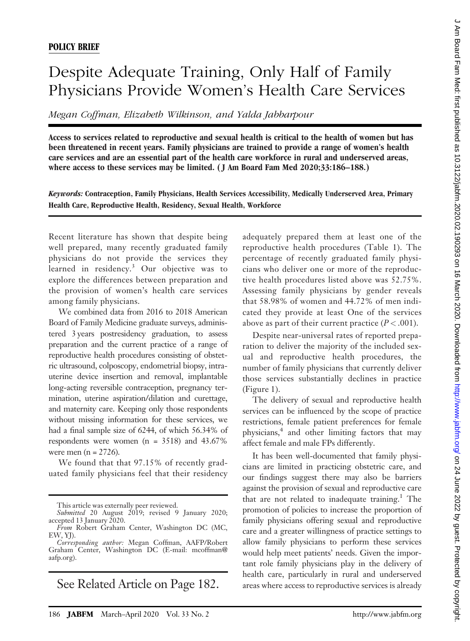## Despite Adequate Training, Only Half of Family Physicians Provide Women's Health Care Services

Megan Coffman, Elizabeth Wilkinson, and Yalda Jabbarpour

Access to services related to reproductive and sexual health is critical to the health of women but has been threatened in recent years. Family physicians are trained to provide a range of women's health care services and are an essential part of the health care workforce in rural and underserved areas, where access to these services may be limited. ( J Am Board Fam Med 2020;33:186–188.)

Keywords: Contraception, Family Physicians, Health Services Accessibility, Medically Underserved Area, Primary Health Care, Reproductive Health, Residency, Sexual Health, Workforce

Recent literature has shown that despite being well prepared, many recently graduated family physicians do not provide the services they learned in residency.<sup>3</sup> Our objective was to explore the differences between preparation and the provision of women's health care services among family physicians.

We combined data from 2016 to 2018 American Board of Family Medicine graduate surveys, administered 3 years postresidency graduation, to assess preparation and the current practice of a range of reproductive health procedures consisting of obstetric ultrasound, colposcopy, endometrial biopsy, intrauterine device insertion and removal, implantable long-acting reversible contraception, pregnancy termination, uterine aspiration/dilation and curettage, and maternity care. Keeping only those respondents without missing information for these services, we had a final sample size of 6244, of which 56.34% of respondents were women (n = 3518) and 43.67% were men  $(n = 2726)$ .

We found that that 97.15% of recently graduated family physicians feel that their residency

This article was externally peer reviewed.

See Related Article on Page 182.

adequately prepared them at least one of the reproductive health procedures (Table 1). The percentage of recently graduated family physicians who deliver one or more of the reproductive health procedures listed above was 52.75%. Assessing family physicians by gender reveals that 58.98% of women and 44.72% of men indicated they provide at least One of the services above as part of their current practice  $(P < .001)$ .

Despite near-universal rates of reported preparation to deliver the majority of the included sexual and reproductive health procedures, the number of family physicians that currently deliver those services substantially declines in practice (Figure 1).

The delivery of sexual and reproductive health services can be influenced by the scope of practice restrictions, female patient preferences for female physicians,4 and other limiting factors that may affect female and male FPs differently.

It has been well-documented that family physicians are limited in practicing obstetric care, and our findings suggest there may also be barriers against the provision of sexual and reproductive care that are not related to inadequate training.<sup>1</sup> The promotion of policies to increase the proportion of family physicians offering sexual and reproductive care and a greater willingness of practice settings to allow family physicians to perform these services would help meet patients' needs. Given the important role family physicians play in the delivery of health care, particularly in rural and underserved areas where access to reproductive services is already

Submitted 20 August 2019; revised 9 January 2020; accepted 13 January 2020.

From Robert Graham Center, Washington DC (MC, EW, YJ). Corresponding author: Megan Coffman, AAFP/Robert

Graham Center, Washington DC (E-mail: [mcoffman@](mailto:mcoffman@aafp.org) [aafp.org\)](mailto:mcoffman@aafp.org).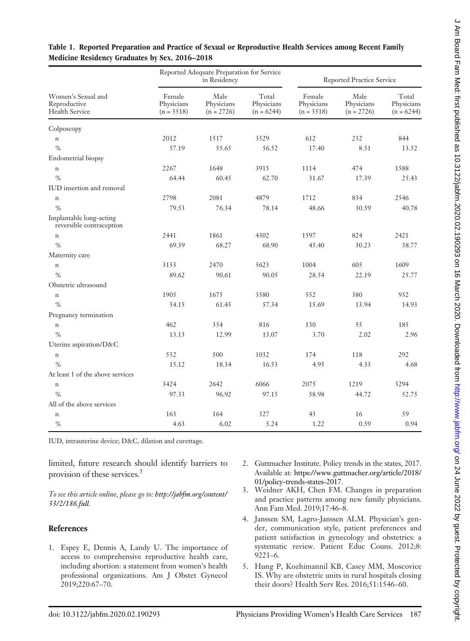| Women's Sexual and<br>Reproductive<br>Health Service | Reported Adequate Preparation for Service<br>in Residency |                                    |                                     | Reported Practice Service            |                                    |                                     |
|------------------------------------------------------|-----------------------------------------------------------|------------------------------------|-------------------------------------|--------------------------------------|------------------------------------|-------------------------------------|
|                                                      | Female<br>Physicians<br>$(n = 3518)$                      | Male<br>Physicians<br>$(n = 2726)$ | Total<br>Physicians<br>$(n = 6244)$ | Female<br>Physicians<br>$(n = 3518)$ | Male<br>Physicians<br>$(n = 2726)$ | Total<br>Physicians<br>$(n = 6244)$ |
| Colposcopy                                           |                                                           |                                    |                                     |                                      |                                    |                                     |
| $\mathbf n$                                          | 2012                                                      | 1517                               | 3529                                | 612                                  | 232                                | 844                                 |
| $\%$                                                 | 57.19                                                     | 55.65                              | 56.52                               | 17.40                                | 8.51                               | 13.52                               |
| Endometrial biopsy                                   |                                                           |                                    |                                     |                                      |                                    |                                     |
| $\mathbf n$                                          | 2267                                                      | 1648                               | 3915                                | 1114                                 | 474                                | 1588                                |
| $\%$                                                 | 64.44                                                     | 60.45                              | 62.70                               | 31.67                                | 17.39                              | 25.43                               |
| IUD insertion and removal                            |                                                           |                                    |                                     |                                      |                                    |                                     |
| $\mathbf n$                                          | 2798                                                      | 2081                               | 4879                                | 1712                                 | 834                                | 2546                                |
| $\%$                                                 | 79.53                                                     | 76.34                              | 78.14                               | 48.66                                | 30.59                              | 40.78                               |
| Implantable long-acting<br>reversible contraception  |                                                           |                                    |                                     |                                      |                                    |                                     |
| $\mathbf n$                                          | 2441                                                      | 1861                               | 4302                                | 1597                                 | 824                                | 2421                                |
| $\%$                                                 | 69.39                                                     | 68.27                              | 68.90                               | 45.40                                | 30.23                              | 38.77                               |
| Maternity care                                       |                                                           |                                    |                                     |                                      |                                    |                                     |
| $\mathbf n$                                          | 3153                                                      | 2470                               | 5623                                | 1004                                 | 605                                | 1609                                |
| $\%$                                                 | 89.62                                                     | 90.61                              | 90.05                               | 28.54                                | 22.19                              | 25.77                               |
| Obstetric ultrasound                                 |                                                           |                                    |                                     |                                      |                                    |                                     |
| $\mathbf n$                                          | 1905                                                      | 1675                               | 3580                                | 552                                  | 380                                | 932                                 |
| $\%$                                                 | 54.15                                                     | 61.45                              | 57.34                               | 15.69                                | 13.94                              | 14.93                               |
| Pregnancy termination                                |                                                           |                                    |                                     |                                      |                                    |                                     |
| $\mathbf n$                                          | 462                                                       | 354                                | 816                                 | 130                                  | 55                                 | 185                                 |
| $\%$                                                 | 13.13                                                     | 12.99                              | 13.07                               | 3.70                                 | 2.02                               | 2.96                                |
| Uterine aspiration/D&C                               |                                                           |                                    |                                     |                                      |                                    |                                     |
| $\mathbf n$                                          | 532                                                       | 500                                | 1032                                | 174                                  | 118                                | 292                                 |
| $\%$                                                 | 15.12                                                     | 18.34                              | 16.53                               | 4.95                                 | 4.33                               | 4.68                                |
| At least 1 of the above services                     |                                                           |                                    |                                     |                                      |                                    |                                     |
| $\mathbf n$                                          | 3424                                                      | 2642                               | 6066                                | 2075                                 | 1219                               | 3294                                |
| $\%$                                                 | 97.33                                                     | 96.92                              | 97.15                               | 58.98                                | 44.72                              | 52.75                               |
| All of the above services                            |                                                           |                                    |                                     |                                      |                                    |                                     |
| $\,$ n                                               | 163                                                       | 164                                | 327                                 | 43                                   | 16                                 | 59                                  |
| $\%$                                                 | 4.63                                                      | 6.02                               | 5.24                                | 1.22                                 | 0.59                               | 0.94                                |

## Table 1. Reported Preparation and Practice of Sexual or Reproductive Health Services among Recent Family Medicine Residency Graduates by Sex, 2016–2018

IUD, intrauterine device; D&C, dilation and curettage.

limited, future research should identify barriers to provision of these services.<sup>5</sup>

To see this article online, please go to: [http://jabfm.org/content/](http://jabfm.org/content/33/2/186.full) [33/2/186.full](http://jabfm.org/content/33/2/186.full).

## **References**

- 1. Espey E, Dennis A, Landy U. The importance of access to comprehensive reproductive health care, including abortion: a statement from women's health professional organizations. Am J Obstet Gynecol 2019;220:67–70.
- 2. Guttmacher Institute. Policy trends in the states, 2017. Available at: [https://www.guttmacher.org/article/2018/](https://www.guttmacher.org/article/2018/01/policy-trends-states-2017) [01/policy-trends-states-2017.](https://www.guttmacher.org/article/2018/01/policy-trends-states-2017)
- 3. Weidner AKH, Chen FM. Changes in preparation and practice patterns among new family physicians. Ann Fam Med. 2019;17:46–8.
- 4. Janssen SM, Lagro-Janssen ALM. Physician's gender, communication style, patient preferences and patient satisfaction in gynecology and obstetrics: a systematic review. Patient Educ Couns. 2012;8: 9221–6.
- 5. Hung P, Kozhimannil KB, Casey MM, Moscovice IS. Why are obstetric units in rural hospitals closing their doors? Health Serv Res. 2016;51:1546–60.